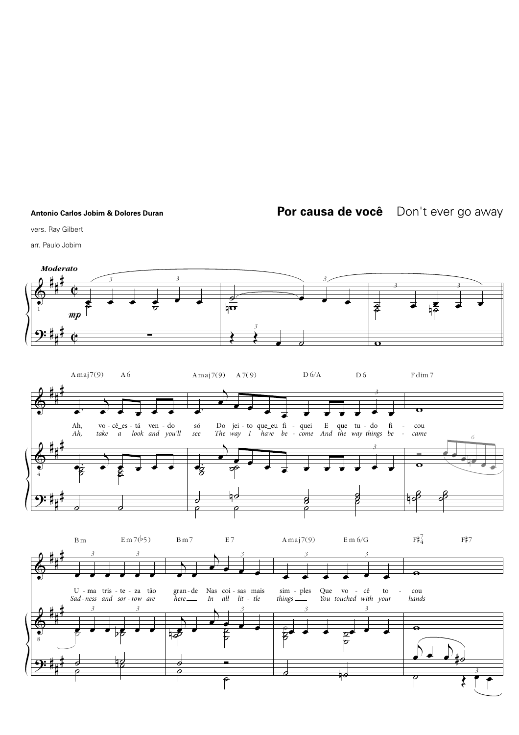## Antonio Carlos Jobim & Dolores Duran

## Por causa de você Don't ever go away

vers. Ray Gilbert

arr. Paulo Jobim

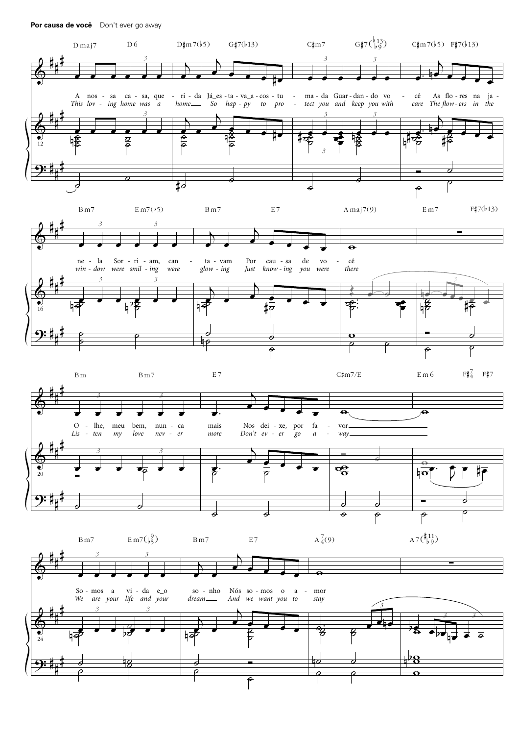## Por causa de você Don't ever go away